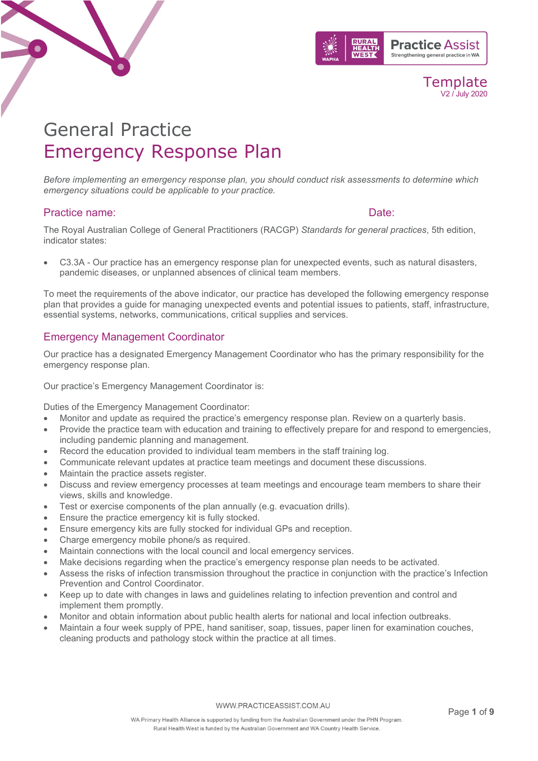



# General Practice Emergency Response Plan

*Before implementing an emergency response plan, you should conduct risk assessments to determine which emergency situations could be applicable to your practice.*

## Practice name:  $\Box$

The Royal Australian College of General Practitioners (RACGP) *Standards for general practices*, 5th edition, indicator states:

• C3.3A - Our practice has an emergency response plan for unexpected events, such as natural disasters, pandemic diseases, or unplanned absences of clinical team members.

To meet the requirements of the above indicator, our practice has developed the following emergency response plan that provides a guide for managing unexpected events and potential issues to patients, staff, infrastructure, essential systems, networks, communications, critical supplies and services.

## Emergency Management Coordinator

Our practice has a designated Emergency Management Coordinator who has the primary responsibility for the emergency response plan.

Our practice's Emergency Management Coordinator is:

Duties of the Emergency Management Coordinator:

- Monitor and update as required the practice's emergency response plan. Review on a quarterly basis.
- Provide the practice team with education and training to effectively prepare for and respond to emergencies, including pandemic planning and management.
- Record the education provided to individual team members in the staff training log.
- Communicate relevant updates at practice team meetings and document these discussions.
- Maintain the practice assets register.
- Discuss and review emergency processes at team meetings and encourage team members to share their views, skills and knowledge.
- Test or exercise components of the plan annually (e.g. evacuation drills).
- Ensure the practice emergency kit is fully stocked.
- Ensure emergency kits are fully stocked for individual GPs and reception.
- Charge emergency mobile phone/s as required.
- Maintain connections with the local council and local emergency services.
- Make decisions regarding when the practice's emergency response plan needs to be activated.
- Assess the risks of infection transmission throughout the practice in conjunction with the practice's Infection Prevention and Control Coordinator.
- Keep up to date with changes in laws and guidelines relating to infection prevention and control and implement them promptly.
- Monitor and obtain information about public health alerts for national and local infection outbreaks.
- Maintain a four week supply of PPE, hand sanitiser, soap, tissues, paper linen for examination couches, cleaning products and pathology stock within the practice at all times.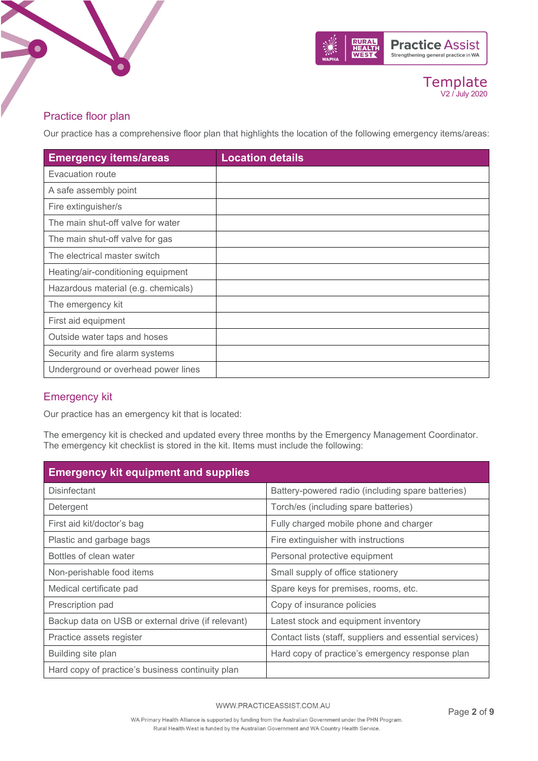



## Practice floor plan

Our practice has a comprehensive floor plan that highlights the location of the following emergency items/areas:

| <b>Emergency items/areas</b>        | <b>Location details</b> |
|-------------------------------------|-------------------------|
| Evacuation route                    |                         |
| A safe assembly point               |                         |
| Fire extinguisher/s                 |                         |
| The main shut-off valve for water   |                         |
| The main shut-off valve for gas     |                         |
| The electrical master switch        |                         |
| Heating/air-conditioning equipment  |                         |
| Hazardous material (e.g. chemicals) |                         |
| The emergency kit                   |                         |
| First aid equipment                 |                         |
| Outside water taps and hoses        |                         |
| Security and fire alarm systems     |                         |
| Underground or overhead power lines |                         |

## Emergency kit

Our practice has an emergency kit that is located:

The emergency kit is checked and updated every three months by the Emergency Management Coordinator. The emergency kit checklist is stored in the kit. Items must include the following:

| <b>Emergency kit equipment and supplies</b>        |                                                         |  |
|----------------------------------------------------|---------------------------------------------------------|--|
| <b>Disinfectant</b>                                | Battery-powered radio (including spare batteries)       |  |
| Detergent                                          | Torch/es (including spare batteries)                    |  |
| First aid kit/doctor's bag                         | Fully charged mobile phone and charger                  |  |
| Plastic and garbage bags                           | Fire extinguisher with instructions                     |  |
| Bottles of clean water                             | Personal protective equipment                           |  |
| Non-perishable food items                          | Small supply of office stationery                       |  |
| Medical certificate pad                            | Spare keys for premises, rooms, etc.                    |  |
| Prescription pad                                   | Copy of insurance policies                              |  |
| Backup data on USB or external drive (if relevant) | Latest stock and equipment inventory                    |  |
| Practice assets register                           | Contact lists (staff, suppliers and essential services) |  |
| Building site plan                                 | Hard copy of practice's emergency response plan         |  |
| Hard copy of practice's business continuity plan   |                                                         |  |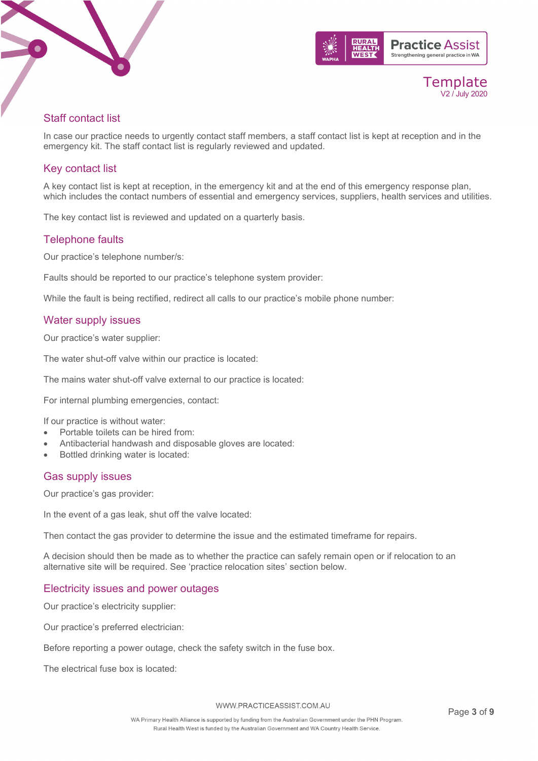



## Staff contact list

In case our practice needs to urgently contact staff members, a staff contact list is kept at reception and in the emergency kit. The staff contact list is regularly reviewed and updated.

## Key contact list

A key contact list is kept at reception, in the emergency kit and at the end of this emergency response plan, which includes the contact numbers of essential and emergency services, suppliers, health services and utilities.

The key contact list is reviewed and updated on a quarterly basis.

## Telephone faults

Our practice's telephone number/s:

Faults should be reported to our practice's telephone system provider:

While the fault is being rectified, redirect all calls to our practice's mobile phone number:

## Water supply issues

Our practice's water supplier:

The water shut-off valve within our practice is located:

The mains water shut-off valve external to our practice is located:

For internal plumbing emergencies, contact:

If our practice is without water:

- Portable toilets can be hired from:
- Antibacterial handwash and disposable gloves are located:
- Bottled drinking water is located:

## Gas supply issues

Our practice's gas provider:

In the event of a gas leak, shut off the valve located:

Then contact the gas provider to determine the issue and the estimated timeframe for repairs.

A decision should then be made as to whether the practice can safely remain open or if relocation to an alternative site will be required. See 'practice relocation sites' section below.

## Electricity issues and power outages

Our practice's electricity supplier:

Our practice's preferred electrician:

Before reporting a power outage, check the safety switch in the fuse box.

The electrical fuse box is located: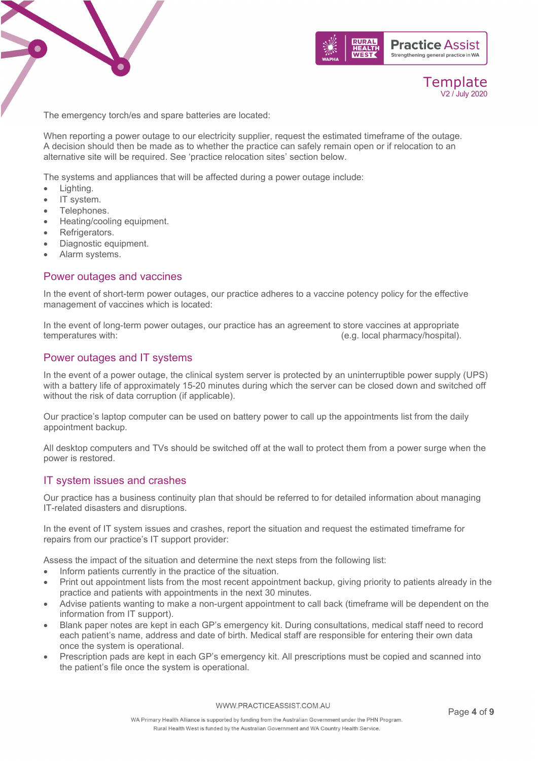



The emergency torch/es and spare batteries are located:

When reporting a power outage to our electricity supplier, request the estimated timeframe of the outage. A decision should then be made as to whether the practice can safely remain open or if relocation to an alternative site will be required. See 'practice relocation sites' section below.

The systems and appliances that will be affected during a power outage include:

- Lighting.
- IT system.
- Telephones.
- Heating/cooling equipment.
- Refrigerators.
- Diagnostic equipment.
- Alarm systems.

#### Power outages and vaccines

In the event of short-term power outages, our practice adheres to a vaccine potency policy for the effective management of vaccines which is located:

In the event of long-term power outages, our practice has an agreement to store vaccines at appropriate temperatures with:<br>(e.g. local pharmacy/hospital). (e.g. local pharmacy/hospital).

## Power outages and IT systems

In the event of a power outage, the clinical system server is protected by an uninterruptible power supply (UPS) with a battery life of approximately 15-20 minutes during which the server can be closed down and switched off without the risk of data corruption (if applicable).

Our practice's laptop computer can be used on battery power to call up the appointments list from the daily appointment backup.

All desktop computers and TVs should be switched off at the wall to protect them from a power surge when the power is restored.

#### IT system issues and crashes

Our practice has a business continuity plan that should be referred to for detailed information about managing IT-related disasters and disruptions.

In the event of IT system issues and crashes, report the situation and request the estimated timeframe for repairs from our practice's IT support provider:

Assess the impact of the situation and determine the next steps from the following list:

- Inform patients currently in the practice of the situation.
- Print out appointment lists from the most recent appointment backup, giving priority to patients already in the practice and patients with appointments in the next 30 minutes.
- Advise patients wanting to make a non-urgent appointment to call back (timeframe will be dependent on the information from IT support).
- Blank paper notes are kept in each GP's emergency kit. During consultations, medical staff need to record each patient's name, address and date of birth. Medical staff are responsible for entering their own data once the system is operational.
- Prescription pads are kept in each GP's emergency kit. All prescriptions must be copied and scanned into the patient's file once the system is operational.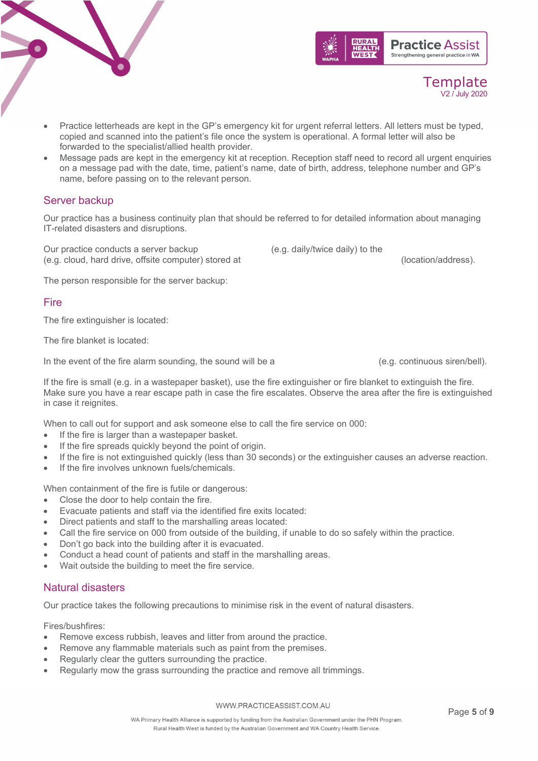WWW.PRACTICEASSIST.COM.AU

## • Practice letterheads are kept in the GP's emergency kit for urgent referral letters. All letters must be typed, copied and scanned into the patient's file once the system is operational. A formal letter will also be forwarded to the specialist/allied health provider.

• Message pads are kept in the emergency kit at reception. Reception staff need to record all urgent enquiries on a message pad with the date, time, patient's name, date of birth, address, telephone number and GP's name, before passing on to the relevant person.

## Server backup

Our practice has a business continuity plan that should be referred to for detailed information about managing IT-related disasters and disruptions.

Our practice conducts a server backup (e.g. daily/twice daily) to the (e.g. cloud, hard drive, offsite computer) stored at (location/address).

The person responsible for the server backup:

## **Fire**

The fire extinguisher is located:

The fire blanket is located:

In the event of the fire alarm sounding, the sound will be a (e.g. continuous siren/bell).

If the fire is small (e.g. in a wastepaper basket), use the fire extinguisher or fire blanket to extinguish the fire. Make sure you have a rear escape path in case the fire escalates. Observe the area after the fire is extinguished in case it reignites.

When to call out for support and ask someone else to call the fire service on 000:

- If the fire is larger than a wastepaper basket.
- If the fire spreads quickly beyond the point of origin.
- If the fire is not extinguished quickly (less than 30 seconds) or the extinguisher causes an adverse reaction.
- If the fire involves unknown fuels/chemicals

When containment of the fire is futile or dangerous:

- Close the door to help contain the fire.
- Evacuate patients and staff via the identified fire exits located:
- Direct patients and staff to the marshalling areas located:
- Call the fire service on 000 from outside of the building, if unable to do so safely within the practice.
- Don't go back into the building after it is evacuated.
- Conduct a head count of patients and staff in the marshalling areas.
- Wait outside the building to meet the fire service.

## Natural disasters

Our practice takes the following precautions to minimise risk in the event of natural disasters.

Fires/bushfires:

- Remove excess rubbish, leaves and litter from around the practice.
- Remove any flammable materials such as paint from the premises.
- Regularly clear the gutters surrounding the practice.
- Regularly mow the grass surrounding the practice and remove all trimmings.



Template V2 / July 2020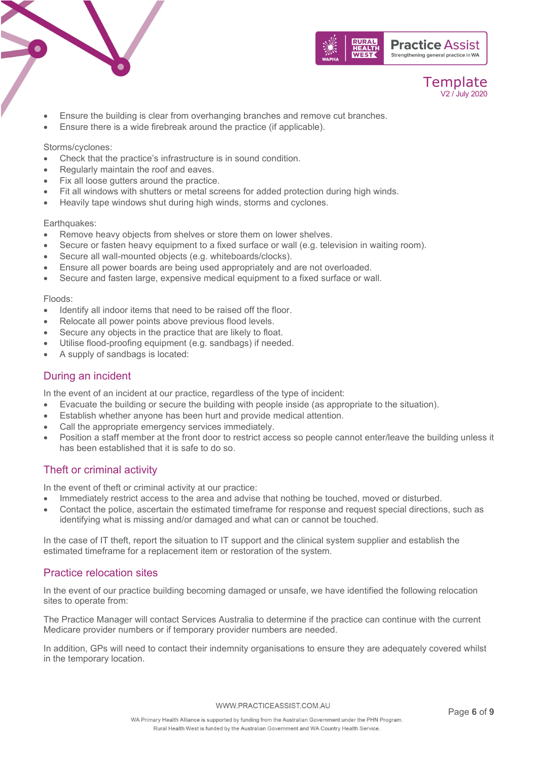





- Ensure the building is clear from overhanging branches and remove cut branches.
- Ensure there is a wide firebreak around the practice (if applicable).

#### Storms/cyclones:

- Check that the practice's infrastructure is in sound condition.
- Regularly maintain the roof and eaves.
- Fix all loose gutters around the practice.
- Fit all windows with shutters or metal screens for added protection during high winds.
- Heavily tape windows shut during high winds, storms and cyclones.

#### Earthquakes:

- Remove heavy objects from shelves or store them on lower shelves.
- Secure or fasten heavy equipment to a fixed surface or wall (e.g. television in waiting room).
- Secure all wall-mounted objects (e.g. whiteboards/clocks).
- Ensure all power boards are being used appropriately and are not overloaded.
- Secure and fasten large, expensive medical equipment to a fixed surface or wall.

#### Floods:

- Identify all indoor items that need to be raised off the floor.
- Relocate all power points above previous flood levels.
- Secure any objects in the practice that are likely to float.
- Utilise flood-proofing equipment (e.g. sandbags) if needed.
- A supply of sandbags is located:

## During an incident

In the event of an incident at our practice, regardless of the type of incident:

- Evacuate the building or secure the building with people inside (as appropriate to the situation).
- Establish whether anyone has been hurt and provide medical attention.
- Call the appropriate emergency services immediately.
- Position a staff member at the front door to restrict access so people cannot enter/leave the building unless it has been established that it is safe to do so.

## Theft or criminal activity

In the event of theft or criminal activity at our practice:

- Immediately restrict access to the area and advise that nothing be touched, moved or disturbed.
- Contact the police, ascertain the estimated timeframe for response and request special directions, such as identifying what is missing and/or damaged and what can or cannot be touched.

In the case of IT theft, report the situation to IT support and the clinical system supplier and establish the estimated timeframe for a replacement item or restoration of the system.

## Practice relocation sites

In the event of our practice building becoming damaged or unsafe, we have identified the following relocation sites to operate from:

The Practice Manager will contact Services Australia to determine if the practice can continue with the current Medicare provider numbers or if temporary provider numbers are needed.

In addition, GPs will need to contact their indemnity organisations to ensure they are adequately covered whilst in the temporary location.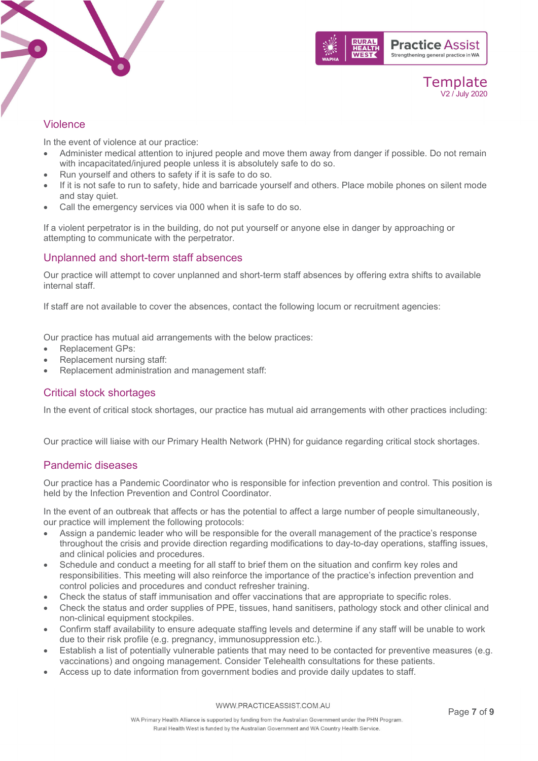



## Violence

In the event of violence at our practice:

- Administer medical attention to injured people and move them away from danger if possible. Do not remain with incapacitated/injured people unless it is absolutely safe to do so.
- Run yourself and others to safety if it is safe to do so.
- If it is not safe to run to safety, hide and barricade yourself and others. Place mobile phones on silent mode and stay quiet.
- Call the emergency services via 000 when it is safe to do so.

If a violent perpetrator is in the building, do not put yourself or anyone else in danger by approaching or attempting to communicate with the perpetrator.

## Unplanned and short-term staff absences

Our practice will attempt to cover unplanned and short-term staff absences by offering extra shifts to available internal staff.

If staff are not available to cover the absences, contact the following locum or recruitment agencies:

Our practice has mutual aid arrangements with the below practices:

- Replacement GPs:
- Replacement nursing staff:
- Replacement administration and management staff:

## Critical stock shortages

In the event of critical stock shortages, our practice has mutual aid arrangements with other practices including:

Our practice will liaise with our Primary Health Network (PHN) for guidance regarding critical stock shortages.

## Pandemic diseases

Our practice has a Pandemic Coordinator who is responsible for infection prevention and control. This position is held by the Infection Prevention and Control Coordinator.

In the event of an outbreak that affects or has the potential to affect a large number of people simultaneously, our practice will implement the following protocols:

- Assign a pandemic leader who will be responsible for the overall management of the practice's response throughout the crisis and provide direction regarding modifications to day-to-day operations, staffing issues, and clinical policies and procedures.
- Schedule and conduct a meeting for all staff to brief them on the situation and confirm key roles and responsibilities. This meeting will also reinforce the importance of the practice's infection prevention and control policies and procedures and conduct refresher training.
- Check the status of staff immunisation and offer vaccinations that are appropriate to specific roles.
- Check the status and order supplies of PPE, tissues, hand sanitisers, pathology stock and other clinical and non-clinical equipment stockpiles.
- Confirm staff availability to ensure adequate staffing levels and determine if any staff will be unable to work due to their risk profile (e.g. pregnancy, immunosuppression etc.).
- Establish a list of potentially vulnerable patients that may need to be contacted for preventive measures (e.g. vaccinations) and ongoing management. Consider Telehealth consultations for these patients.
- Access up to date information from government bodies and provide daily updates to staff.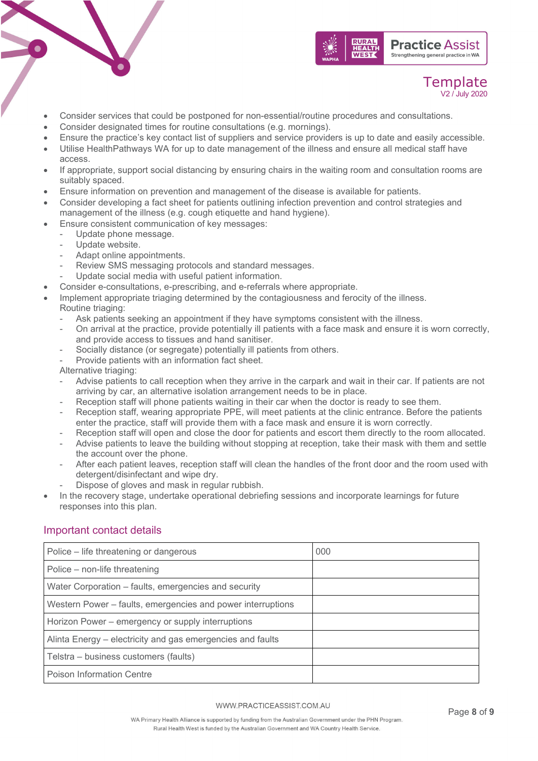

- Consider services that could be postponed for non-essential/routine procedures and consultations.
- Consider designated times for routine consultations (e.g. mornings).
- Ensure the practice's key contact list of suppliers and service providers is up to date and easily accessible.
- Utilise HealthPathways WA for up to date management of the illness and ensure all medical staff have access.
- If appropriate, support social distancing by ensuring chairs in the waiting room and consultation rooms are suitably spaced.
- Ensure information on prevention and management of the disease is available for patients.
- Consider developing a fact sheet for patients outlining infection prevention and control strategies and management of the illness (e.g. cough etiquette and hand hygiene).
- Ensure consistent communication of key messages:
	- Update phone message.
	- Update website.
	- Adapt online appointments.
	- Review SMS messaging protocols and standard messages.
	- Update social media with useful patient information.
- Consider e-consultations, e-prescribing, and e-referrals where appropriate.
- Implement appropriate triaging determined by the contagiousness and ferocity of the illness. Routine triaging:
	- Ask patients seeking an appointment if they have symptoms consistent with the illness.
	- On arrival at the practice, provide potentially ill patients with a face mask and ensure it is worn correctly, and provide access to tissues and hand sanitiser.
	- Socially distance (or segregate) potentially ill patients from others.
	- Provide patients with an information fact sheet.

Alternative triaging:

- Advise patients to call reception when they arrive in the carpark and wait in their car. If patients are not arriving by car, an alternative isolation arrangement needs to be in place.
- Reception staff will phone patients waiting in their car when the doctor is ready to see them.
- Reception staff, wearing appropriate PPE, will meet patients at the clinic entrance. Before the patients enter the practice, staff will provide them with a face mask and ensure it is worn correctly.
- Reception staff will open and close the door for patients and escort them directly to the room allocated.
- Advise patients to leave the building without stopping at reception, take their mask with them and settle the account over the phone.
- After each patient leaves, reception staff will clean the handles of the front door and the room used with detergent/disinfectant and wipe dry.
- Dispose of gloves and mask in regular rubbish.
- In the recovery stage, undertake operational debriefing sessions and incorporate learnings for future responses into this plan.

## Important contact details

| Police – life threatening or dangerous                      | 000 |
|-------------------------------------------------------------|-----|
| Police – non-life threatening                               |     |
| Water Corporation - faults, emergencies and security        |     |
| Western Power - faults, emergencies and power interruptions |     |
| Horizon Power – emergency or supply interruptions           |     |
| Alinta Energy – electricity and gas emergencies and faults  |     |
| Telstra – business customers (faults)                       |     |
| <b>Poison Information Centre</b>                            |     |